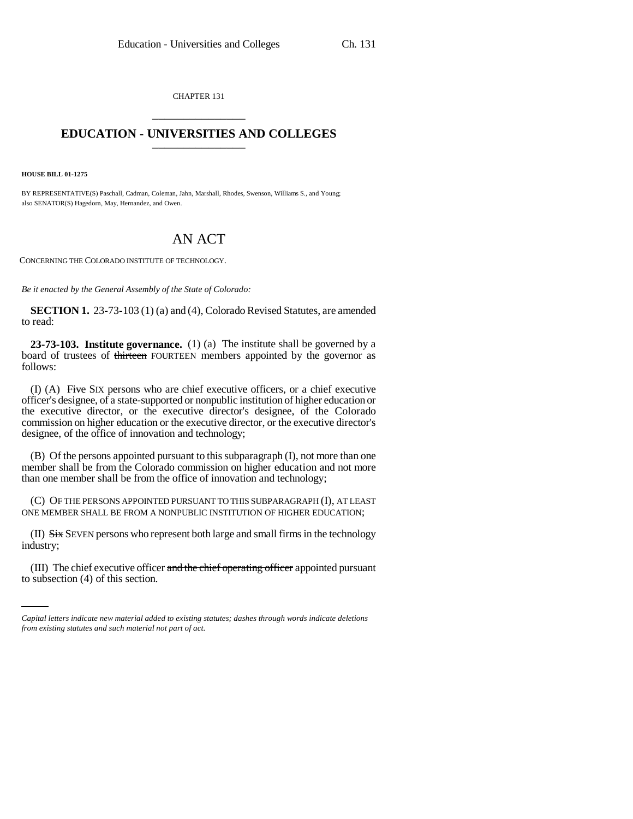CHAPTER 131 \_\_\_\_\_\_\_\_\_\_\_\_\_\_\_

## **EDUCATION - UNIVERSITIES AND COLLEGES** \_\_\_\_\_\_\_\_\_\_\_\_\_\_\_

**HOUSE BILL 01-1275**

BY REPRESENTATIVE(S) Paschall, Cadman, Coleman, Jahn, Marshall, Rhodes, Swenson, Williams S., and Young; also SENATOR(S) Hagedorn, May, Hernandez, and Owen.

## AN ACT

CONCERNING THE COLORADO INSTITUTE OF TECHNOLOGY.

*Be it enacted by the General Assembly of the State of Colorado:*

**SECTION 1.** 23-73-103 (1) (a) and (4), Colorado Revised Statutes, are amended to read:

**23-73-103. Institute governance.** (1) (a) The institute shall be governed by a board of trustees of thirteen FOURTEEN members appointed by the governor as follows:

(I) (A) Five SIX persons who are chief executive officers, or a chief executive officer's designee, of a state-supported or nonpublic institution of higher education or the executive director, or the executive director's designee, of the Colorado commission on higher education or the executive director, or the executive director's designee, of the office of innovation and technology;

(B) Of the persons appointed pursuant to this subparagraph (I), not more than one member shall be from the Colorado commission on higher education and not more than one member shall be from the office of innovation and technology;

(C) OF THE PERSONS APPOINTED PURSUANT TO THIS SUBPARAGRAPH (I), AT LEAST ONE MEMBER SHALL BE FROM A NONPUBLIC INSTITUTION OF HIGHER EDUCATION;

industry;  $(II)$  Six SEVEN persons who represent both large and small firms in the technology

(III) The chief executive officer and the chief operating officer appointed pursuant to subsection (4) of this section.

*Capital letters indicate new material added to existing statutes; dashes through words indicate deletions from existing statutes and such material not part of act.*